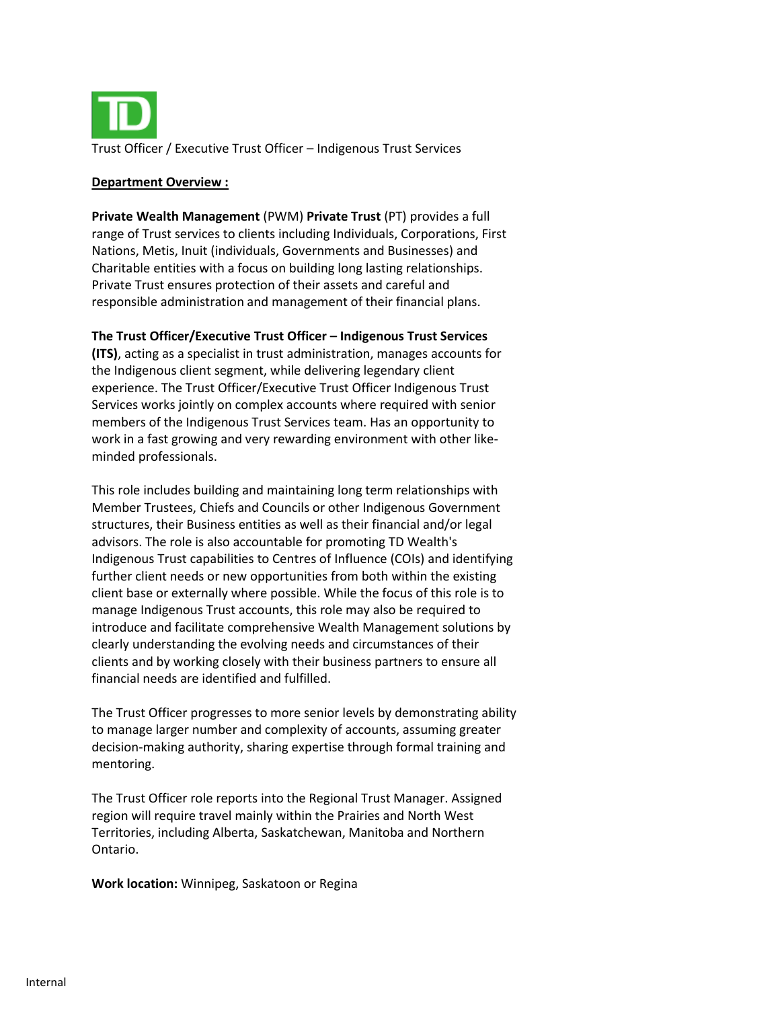

#### **Department Overview :**

**Private Wealth Management** (PWM) **Private Trust** (PT) provides a full range of Trust services to clients including Individuals, Corporations, First Nations, Metis, Inuit (individuals, Governments and Businesses) and Charitable entities with a focus on building long lasting relationships. Private Trust ensures protection of their assets and careful and responsible administration and management of their financial plans.

#### **The Trust Officer/Executive Trust Officer – Indigenous Trust Services**

**(ITS)**, acting as a specialist in trust administration, manages accounts for the Indigenous client segment, while delivering legendary client experience. The Trust Officer/Executive Trust Officer Indigenous Trust Services works jointly on complex accounts where required with senior members of the Indigenous Trust Services team. Has an opportunity to work in a fast growing and very rewarding environment with other likeminded professionals.

This role includes building and maintaining long term relationships with Member Trustees, Chiefs and Councils or other Indigenous Government structures, their Business entities as well as their financial and/or legal advisors. The role is also accountable for promoting TD Wealth's Indigenous Trust capabilities to Centres of Influence (COIs) and identifying further client needs or new opportunities from both within the existing client base or externally where possible. While the focus of this role is to manage Indigenous Trust accounts, this role may also be required to introduce and facilitate comprehensive Wealth Management solutions by clearly understanding the evolving needs and circumstances of their clients and by working closely with their business partners to ensure all financial needs are identified and fulfilled.

The Trust Officer progresses to more senior levels by demonstrating ability to manage larger number and complexity of accounts, assuming greater decision-making authority, sharing expertise through formal training and mentoring.

The Trust Officer role reports into the Regional Trust Manager. Assigned region will require travel mainly within the Prairies and North West Territories, including Alberta, Saskatchewan, Manitoba and Northern Ontario.

**Work location:** Winnipeg, Saskatoon or Regina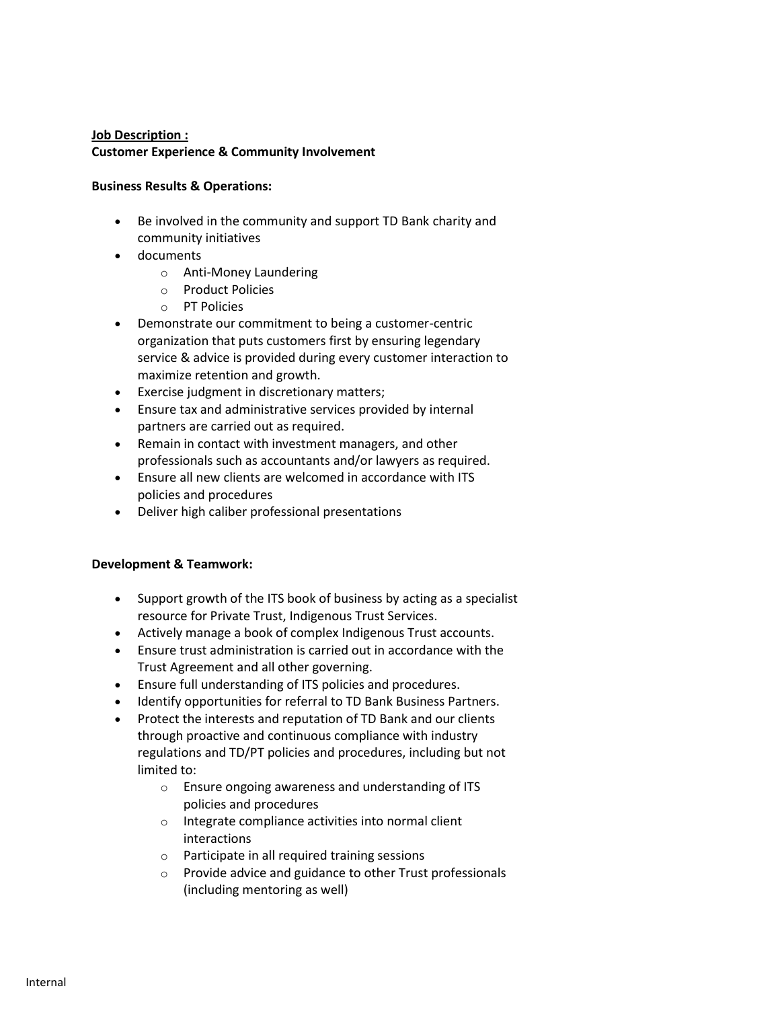#### **Job Description : Customer Experience & Community Involvement**

#### **Business Results & Operations:**

- Be involved in the community and support TD Bank charity and community initiatives
- documents
	- o Anti-Money Laundering
	- o Product Policies
	- o PT Policies
- Demonstrate our commitment to being a customer-centric organization that puts customers first by ensuring legendary service & advice is provided during every customer interaction to maximize retention and growth.
- Exercise judgment in discretionary matters;
- Ensure tax and administrative services provided by internal partners are carried out as required.
- Remain in contact with investment managers, and other professionals such as accountants and/or lawyers as required.
- Ensure all new clients are welcomed in accordance with ITS policies and procedures
- Deliver high caliber professional presentations

## **Development & Teamwork:**

- Support growth of the ITS book of business by acting as a specialist resource for Private Trust, Indigenous Trust Services.
- Actively manage a book of complex Indigenous Trust accounts.
- Ensure trust administration is carried out in accordance with the Trust Agreement and all other governing.
- Ensure full understanding of ITS policies and procedures.
- Identify opportunities for referral to TD Bank Business Partners.
- Protect the interests and reputation of TD Bank and our clients through proactive and continuous compliance with industry regulations and TD/PT policies and procedures, including but not limited to:
	- o Ensure ongoing awareness and understanding of ITS policies and procedures
	- o Integrate compliance activities into normal client interactions
	- o Participate in all required training sessions
	- o Provide advice and guidance to other Trust professionals (including mentoring as well)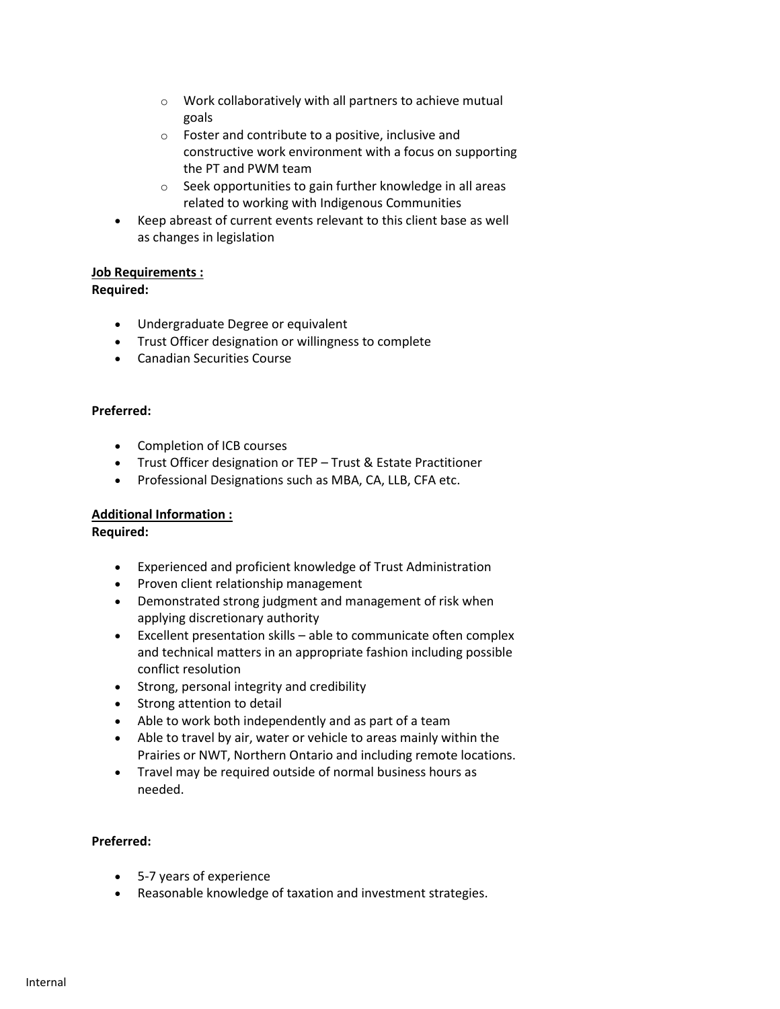- o Work collaboratively with all partners to achieve mutual goals
- o Foster and contribute to a positive, inclusive and constructive work environment with a focus on supporting the PT and PWM team
- o Seek opportunities to gain further knowledge in all areas related to working with Indigenous Communities
- Keep abreast of current events relevant to this client base as well as changes in legislation

# **Job Requirements :**

## **Required:**

- Undergraduate Degree or equivalent
- Trust Officer designation or willingness to complete
- Canadian Securities Course

## **Preferred:**

- Completion of ICB courses
- Trust Officer designation or TEP Trust & Estate Practitioner
- Professional Designations such as MBA, CA, LLB, CFA etc.

## **Additional Information :**

## **Required:**

- Experienced and proficient knowledge of Trust Administration
- Proven client relationship management
- Demonstrated strong judgment and management of risk when applying discretionary authority
- Excellent presentation skills able to communicate often complex and technical matters in an appropriate fashion including possible conflict resolution
- Strong, personal integrity and credibility
- Strong attention to detail
- Able to work both independently and as part of a team
- Able to travel by air, water or vehicle to areas mainly within the Prairies or NWT, Northern Ontario and including remote locations.
- Travel may be required outside of normal business hours as needed.

## **Preferred:**

- 5-7 years of experience
- Reasonable knowledge of taxation and investment strategies.